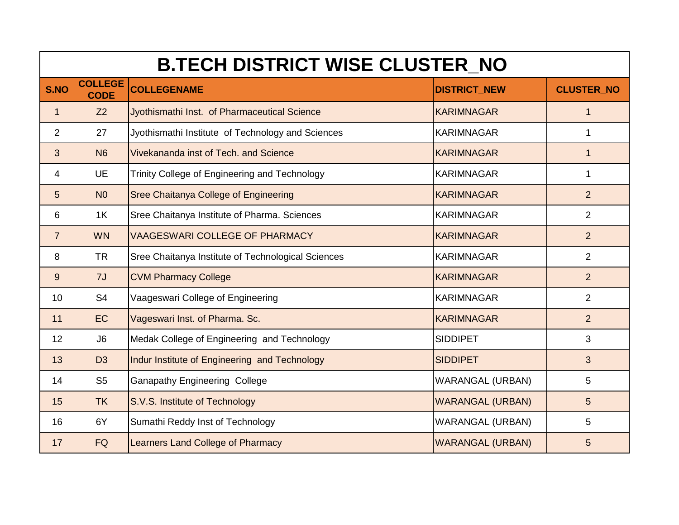|                 | <b>B.TECH DISTRICT WISE CLUSTER_NO</b> |                                                    |                         |                   |  |
|-----------------|----------------------------------------|----------------------------------------------------|-------------------------|-------------------|--|
| S.NO            | <b>COLLEGE</b><br><b>CODE</b>          | <b>COLLEGENAME</b>                                 | <b>DISTRICT NEW</b>     | <b>CLUSTER NO</b> |  |
| 1               | Z <sub>2</sub>                         | Jyothismathi Inst. of Pharmaceutical Science       | <b>KARIMNAGAR</b>       | 1                 |  |
| $\overline{2}$  | 27                                     | Jyothismathi Institute of Technology and Sciences  | <b>KARIMNAGAR</b>       | 1                 |  |
| 3               | N <sub>6</sub>                         | Vivekananda inst of Tech. and Science              | <b>KARIMNAGAR</b>       | 1                 |  |
| 4               | <b>UE</b>                              | Trinity College of Engineering and Technology      | <b>KARIMNAGAR</b>       | 1                 |  |
| 5               | N <sub>0</sub>                         | <b>Sree Chaitanya College of Engineering</b>       | <b>KARIMNAGAR</b>       | 2                 |  |
| 6               | 1K                                     | Sree Chaitanya Institute of Pharma. Sciences       | <b>KARIMNAGAR</b>       | $\overline{2}$    |  |
| $\overline{7}$  | <b>WN</b>                              | <b>VAAGESWARI COLLEGE OF PHARMACY</b>              | <b>KARIMNAGAR</b>       | 2                 |  |
| 8               | <b>TR</b>                              | Sree Chaitanya Institute of Technological Sciences | <b>KARIMNAGAR</b>       | $\overline{2}$    |  |
| 9               | 7J                                     | <b>CVM Pharmacy College</b>                        | <b>KARIMNAGAR</b>       | $\overline{2}$    |  |
| 10 <sup>°</sup> | S <sub>4</sub>                         | Vaageswari College of Engineering                  | <b>KARIMNAGAR</b>       | $\overline{2}$    |  |
| 11              | EC                                     | Vageswari Inst. of Pharma. Sc.                     | <b>KARIMNAGAR</b>       | 2                 |  |
| 12              | J6                                     | Medak College of Engineering and Technology        | <b>SIDDIPET</b>         | 3                 |  |
| 13              | D <sub>3</sub>                         | Indur Institute of Engineering and Technology      | <b>SIDDIPET</b>         | 3                 |  |
| 14              | S <sub>5</sub>                         | <b>Ganapathy Engineering College</b>               | <b>WARANGAL (URBAN)</b> | 5                 |  |
| 15              | <b>TK</b>                              | S.V.S. Institute of Technology                     | <b>WARANGAL (URBAN)</b> | 5 <sup>5</sup>    |  |
| 16              | 6Y                                     | Sumathi Reddy Inst of Technology                   | <b>WARANGAL (URBAN)</b> | 5                 |  |
| 17              | <b>FQ</b>                              | <b>Learners Land College of Pharmacy</b>           | <b>WARANGAL (URBAN)</b> | 5                 |  |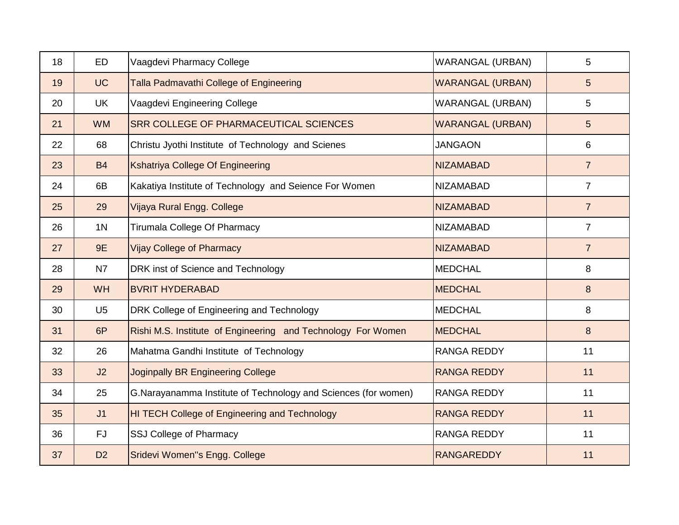| 18 | <b>ED</b>      | Vaagdevi Pharmacy College                                       | <b>WARANGAL (URBAN)</b> | 5              |
|----|----------------|-----------------------------------------------------------------|-------------------------|----------------|
| 19 | <b>UC</b>      | Talla Padmavathi College of Engineering                         | <b>WARANGAL (URBAN)</b> | 5 <sup>5</sup> |
| 20 | <b>UK</b>      | Vaagdevi Engineering College                                    | <b>WARANGAL (URBAN)</b> | 5              |
| 21 | <b>WM</b>      | <b>SRR COLLEGE OF PHARMACEUTICAL SCIENCES</b>                   | <b>WARANGAL (URBAN)</b> | 5 <sup>5</sup> |
| 22 | 68             | Christu Jyothi Institute of Technology and Scienes              | <b>JANGAON</b>          | 6              |
| 23 | <b>B4</b>      | Kshatriya College Of Engineering                                | <b>NIZAMABAD</b>        | $\overline{7}$ |
| 24 | 6B             | Kakatiya Institute of Technology and Seience For Women          | NIZAMABAD               | $\overline{7}$ |
| 25 | 29             | Vijaya Rural Engg. College                                      | <b>NIZAMABAD</b>        | $\overline{7}$ |
| 26 | 1 <sub>N</sub> | Tirumala College Of Pharmacy                                    | <b>NIZAMABAD</b>        | $\overline{7}$ |
| 27 | 9E             | <b>Vijay College of Pharmacy</b>                                | <b>NIZAMABAD</b>        | $\overline{7}$ |
| 28 | N7             | DRK inst of Science and Technology                              | <b>MEDCHAL</b>          | 8              |
| 29 | <b>WH</b>      | <b>BVRIT HYDERABAD</b>                                          | <b>MEDCHAL</b>          | 8              |
| 30 | U <sub>5</sub> | DRK College of Engineering and Technology                       | <b>MEDCHAL</b>          | 8              |
| 31 | 6P             | Rishi M.S. Institute of Engineering and Technology For Women    | <b>MEDCHAL</b>          | 8              |
| 32 | 26             | Mahatma Gandhi Institute of Technology                          | <b>RANGA REDDY</b>      | 11             |
| 33 | J2             | <b>Joginpally BR Engineering College</b>                        | <b>RANGA REDDY</b>      | 11             |
| 34 | 25             | G. Narayanamma Institute of Technology and Sciences (for women) | <b>RANGA REDDY</b>      | 11             |
| 35 | J <sub>1</sub> | HI TECH College of Engineering and Technology                   | <b>RANGA REDDY</b>      | 11             |
| 36 | <b>FJ</b>      | SSJ College of Pharmacy                                         | <b>RANGA REDDY</b>      | 11             |
| 37 | D <sub>2</sub> | Sridevi Women"s Engg. College                                   | <b>RANGAREDDY</b>       | 11             |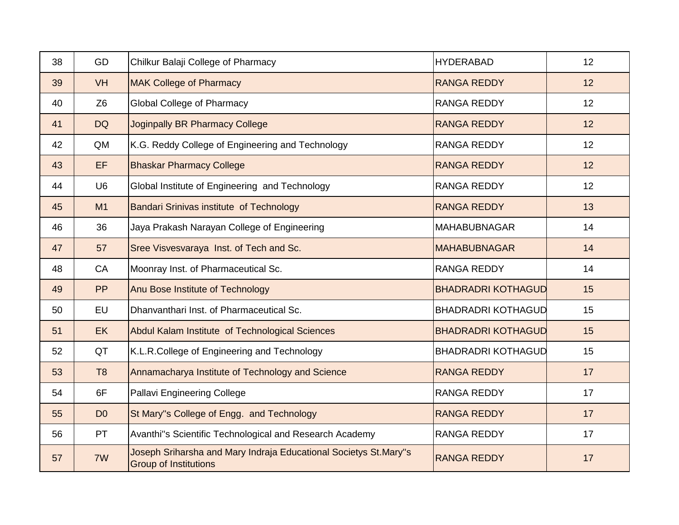| 38 | GD             | Chilkur Balaji College of Pharmacy                                                               | <b>HYDERABAD</b>          | 12 |
|----|----------------|--------------------------------------------------------------------------------------------------|---------------------------|----|
| 39 | <b>VH</b>      | <b>MAK College of Pharmacy</b>                                                                   | <b>RANGA REDDY</b>        | 12 |
| 40 | Z <sub>6</sub> | <b>Global College of Pharmacy</b>                                                                | <b>RANGA REDDY</b>        | 12 |
| 41 | <b>DQ</b>      | <b>Joginpally BR Pharmacy College</b>                                                            | <b>RANGA REDDY</b>        | 12 |
| 42 | QM             | K.G. Reddy College of Engineering and Technology                                                 | <b>RANGA REDDY</b>        | 12 |
| 43 | EF             | <b>Bhaskar Pharmacy College</b>                                                                  | <b>RANGA REDDY</b>        | 12 |
| 44 | U <sub>6</sub> | Global Institute of Engineering and Technology                                                   | <b>RANGA REDDY</b>        | 12 |
| 45 | M1             | Bandari Srinivas institute of Technology                                                         | <b>RANGA REDDY</b>        | 13 |
| 46 | 36             | Jaya Prakash Narayan College of Engineering                                                      | <b>MAHABUBNAGAR</b>       | 14 |
| 47 | 57             | Sree Visvesvaraya Inst. of Tech and Sc.                                                          | <b>MAHABUBNAGAR</b>       | 14 |
| 48 | CA             | Moonray Inst. of Pharmaceutical Sc.                                                              | <b>RANGA REDDY</b>        | 14 |
| 49 | PP             | Anu Bose Institute of Technology                                                                 | <b>BHADRADRI KOTHAGUD</b> | 15 |
| 50 | EU             | Dhanvanthari Inst. of Pharmaceutical Sc.                                                         | <b>BHADRADRI KOTHAGUD</b> | 15 |
| 51 | <b>EK</b>      | Abdul Kalam Institute of Technological Sciences                                                  | <b>BHADRADRI KOTHAGUD</b> | 15 |
| 52 | QT             | K.L.R.College of Engineering and Technology                                                      | <b>BHADRADRI KOTHAGUD</b> | 15 |
| 53 | T <sub>8</sub> | Annamacharya Institute of Technology and Science                                                 | <b>RANGA REDDY</b>        | 17 |
| 54 | 6F             | Pallavi Engineering College                                                                      | <b>RANGA REDDY</b>        | 17 |
| 55 | D <sub>0</sub> | St Mary"s College of Engg. and Technology                                                        | <b>RANGA REDDY</b>        | 17 |
| 56 | PT             | Avanthi"s Scientific Technological and Research Academy                                          | <b>RANGA REDDY</b>        | 17 |
| 57 | 7W             | Joseph Sriharsha and Mary Indraja Educational Societys St.Mary"s<br><b>Group of Institutions</b> | <b>RANGA REDDY</b>        | 17 |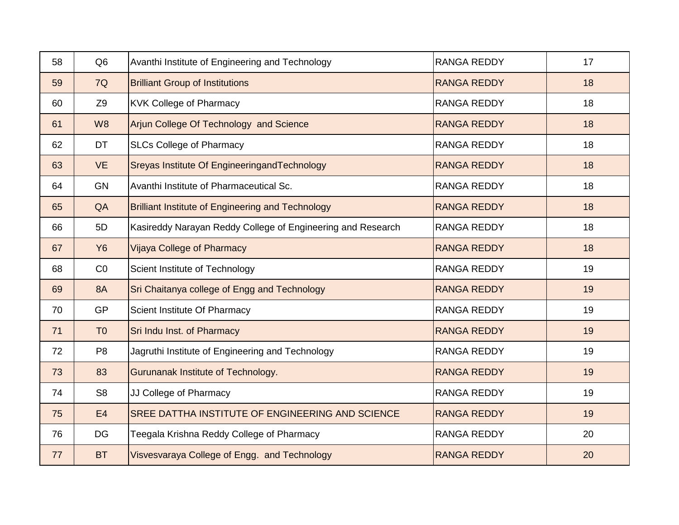| 58 | Q <sub>6</sub> | Avanthi Institute of Engineering and Technology             | <b>RANGA REDDY</b> | 17 |
|----|----------------|-------------------------------------------------------------|--------------------|----|
| 59 | 7Q             | <b>Brilliant Group of Institutions</b>                      | <b>RANGA REDDY</b> | 18 |
| 60 | Z <sub>9</sub> | <b>KVK College of Pharmacy</b>                              | <b>RANGA REDDY</b> | 18 |
| 61 | W <sub>8</sub> | Arjun College Of Technology and Science                     | <b>RANGA REDDY</b> | 18 |
| 62 | DT             | <b>SLCs College of Pharmacy</b>                             | <b>RANGA REDDY</b> | 18 |
| 63 | <b>VE</b>      | Sreyas Institute Of EngineeringandTechnology                | <b>RANGA REDDY</b> | 18 |
| 64 | <b>GN</b>      | Avanthi Institute of Pharmaceutical Sc.                     | <b>RANGA REDDY</b> | 18 |
| 65 | QA             | <b>Brilliant Institute of Engineering and Technology</b>    | <b>RANGA REDDY</b> | 18 |
| 66 | 5D             | Kasireddy Narayan Reddy College of Engineering and Research | <b>RANGA REDDY</b> | 18 |
| 67 | <b>Y6</b>      | <b>Vijaya College of Pharmacy</b>                           | <b>RANGA REDDY</b> | 18 |
| 68 | CO             | Scient Institute of Technology                              | <b>RANGA REDDY</b> | 19 |
| 69 | <b>8A</b>      | Sri Chaitanya college of Engg and Technology                | <b>RANGA REDDY</b> | 19 |
| 70 | <b>GP</b>      | Scient Institute Of Pharmacy                                | <b>RANGA REDDY</b> | 19 |
| 71 | T <sub>0</sub> | Sri Indu Inst. of Pharmacy                                  | <b>RANGA REDDY</b> | 19 |
| 72 | P <sub>8</sub> | Jagruthi Institute of Engineering and Technology            | <b>RANGA REDDY</b> | 19 |
| 73 | 83             | Gurunanak Institute of Technology.                          | <b>RANGA REDDY</b> | 19 |
| 74 | S <sub>8</sub> | JJ College of Pharmacy                                      | <b>RANGA REDDY</b> | 19 |
| 75 | E4             | SREE DATTHA INSTITUTE OF ENGINEERING AND SCIENCE            | <b>RANGA REDDY</b> | 19 |
| 76 | <b>DG</b>      | Teegala Krishna Reddy College of Pharmacy                   | <b>RANGA REDDY</b> | 20 |
| 77 | <b>BT</b>      | Visvesvaraya College of Engg. and Technology                | <b>RANGA REDDY</b> | 20 |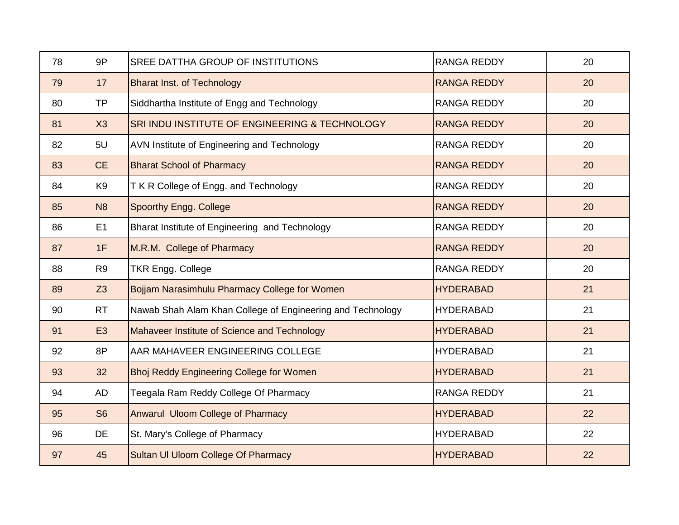| 78 | 9P             | SREE DATTHA GROUP OF INSTITUTIONS                          | <b>RANGA REDDY</b> | 20 |
|----|----------------|------------------------------------------------------------|--------------------|----|
| 79 | 17             | <b>Bharat Inst. of Technology</b>                          | <b>RANGA REDDY</b> | 20 |
| 80 | <b>TP</b>      | Siddhartha Institute of Engg and Technology                | <b>RANGA REDDY</b> | 20 |
| 81 | X3             | SRI INDU INSTITUTE OF ENGINEERING & TECHNOLOGY             | <b>RANGA REDDY</b> | 20 |
| 82 | 5U             | AVN Institute of Engineering and Technology                | <b>RANGA REDDY</b> | 20 |
| 83 | <b>CE</b>      | <b>Bharat School of Pharmacy</b>                           | <b>RANGA REDDY</b> | 20 |
| 84 | K <sub>9</sub> | T K R College of Engg. and Technology                      | <b>RANGA REDDY</b> | 20 |
| 85 | N <sub>8</sub> | Spoorthy Engg. College                                     | <b>RANGA REDDY</b> | 20 |
| 86 | E1             | Bharat Institute of Engineering and Technology             | <b>RANGA REDDY</b> | 20 |
| 87 | 1F             | M.R.M. College of Pharmacy                                 | <b>RANGA REDDY</b> | 20 |
| 88 | R <sub>9</sub> | <b>TKR Engg. College</b>                                   | <b>RANGA REDDY</b> | 20 |
| 89 | Z <sub>3</sub> | Bojjam Narasimhulu Pharmacy College for Women              | <b>HYDERABAD</b>   | 21 |
| 90 | <b>RT</b>      | Nawab Shah Alam Khan College of Engineering and Technology | <b>HYDERABAD</b>   | 21 |
| 91 | E <sub>3</sub> | Mahaveer Institute of Science and Technology               | <b>HYDERABAD</b>   | 21 |
| 92 | 8P             | AAR MAHAVEER ENGINEERING COLLEGE                           | <b>HYDERABAD</b>   | 21 |
| 93 | 32             | <b>Bhoj Reddy Engineering College for Women</b>            | <b>HYDERABAD</b>   | 21 |
| 94 | AD             | Teegala Ram Reddy College Of Pharmacy                      | <b>RANGA REDDY</b> | 21 |
| 95 | S <sub>6</sub> | Anwarul Uloom College of Pharmacy                          | <b>HYDERABAD</b>   | 22 |
| 96 | DE             | St. Mary's College of Pharmacy                             | <b>HYDERABAD</b>   | 22 |
| 97 | 45             | Sultan UI Uloom College Of Pharmacy                        | <b>HYDERABAD</b>   | 22 |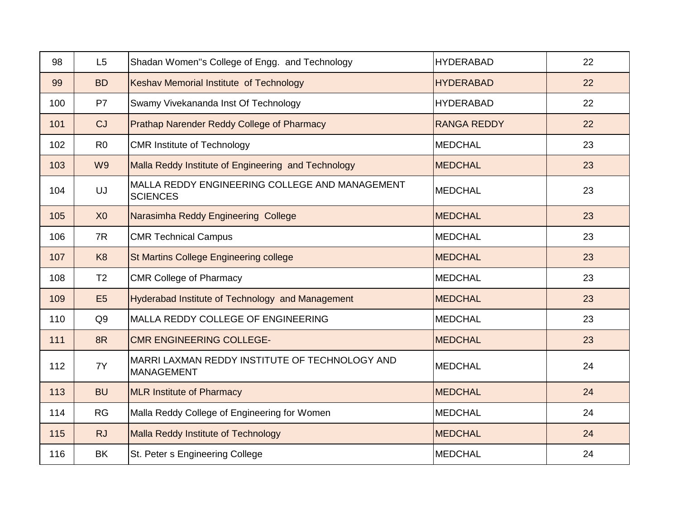| 98  | L5             | Shadan Women"s College of Engg. and Technology                      | <b>HYDERABAD</b>   | 22 |
|-----|----------------|---------------------------------------------------------------------|--------------------|----|
| 99  | <b>BD</b>      | Keshav Memorial Institute of Technology                             | <b>HYDERABAD</b>   | 22 |
| 100 | P7             | Swamy Vivekananda Inst Of Technology                                | <b>HYDERABAD</b>   | 22 |
| 101 | CJ             | Prathap Narender Reddy College of Pharmacy                          | <b>RANGA REDDY</b> | 22 |
| 102 | R <sub>0</sub> | <b>CMR Institute of Technology</b>                                  | <b>MEDCHAL</b>     | 23 |
| 103 | W <sub>9</sub> | Malla Reddy Institute of Engineering and Technology                 | <b>MEDCHAL</b>     | 23 |
| 104 | UJ             | MALLA REDDY ENGINEERING COLLEGE AND MANAGEMENT<br><b>SCIENCES</b>   | <b>MEDCHAL</b>     | 23 |
| 105 | X <sub>0</sub> | Narasimha Reddy Engineering College                                 | <b>MEDCHAL</b>     | 23 |
| 106 | 7R             | <b>CMR Technical Campus</b>                                         | <b>MEDCHAL</b>     | 23 |
| 107 | K <sub>8</sub> | <b>St Martins College Engineering college</b>                       | <b>MEDCHAL</b>     | 23 |
| 108 | T <sub>2</sub> | <b>CMR College of Pharmacy</b>                                      | <b>MEDCHAL</b>     | 23 |
| 109 | E <sub>5</sub> | Hyderabad Institute of Technology and Management                    | <b>MEDCHAL</b>     | 23 |
| 110 | Q <sub>9</sub> | MALLA REDDY COLLEGE OF ENGINEERING                                  | <b>MEDCHAL</b>     | 23 |
| 111 | 8R             | <b>CMR ENGINEERING COLLEGE-</b>                                     | <b>MEDCHAL</b>     | 23 |
| 112 | 7Y             | MARRI LAXMAN REDDY INSTITUTE OF TECHNOLOGY AND<br><b>MANAGEMENT</b> | <b>MEDCHAL</b>     | 24 |
| 113 | <b>BU</b>      | <b>MLR Institute of Pharmacy</b>                                    | <b>MEDCHAL</b>     | 24 |
| 114 | <b>RG</b>      | Malla Reddy College of Engineering for Women                        | <b>MEDCHAL</b>     | 24 |
| 115 | <b>RJ</b>      | Malla Reddy Institute of Technology                                 | <b>MEDCHAL</b>     | 24 |
| 116 | <b>BK</b>      | St. Peter s Engineering College                                     | <b>MEDCHAL</b>     | 24 |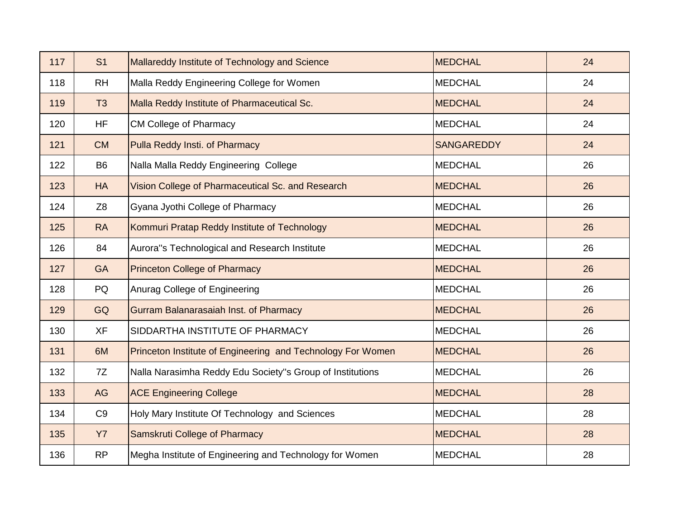| 117 | S <sub>1</sub> | Mallareddy Institute of Technology and Science              | <b>MEDCHAL</b>    | 24 |
|-----|----------------|-------------------------------------------------------------|-------------------|----|
| 118 | <b>RH</b>      | Malla Reddy Engineering College for Women                   | <b>MEDCHAL</b>    | 24 |
| 119 | T <sub>3</sub> | Malla Reddy Institute of Pharmaceutical Sc.                 | <b>MEDCHAL</b>    | 24 |
| 120 | <b>HF</b>      | <b>CM College of Pharmacy</b>                               | <b>MEDCHAL</b>    | 24 |
| 121 | <b>CM</b>      | Pulla Reddy Insti. of Pharmacy                              | <b>SANGAREDDY</b> | 24 |
| 122 | B <sub>6</sub> | Nalla Malla Reddy Engineering College                       | <b>MEDCHAL</b>    | 26 |
| 123 | <b>HA</b>      | Vision College of Pharmaceutical Sc. and Research           | <b>MEDCHAL</b>    | 26 |
| 124 | Z <sub>8</sub> | Gyana Jyothi College of Pharmacy                            | <b>MEDCHAL</b>    | 26 |
| 125 | <b>RA</b>      | Kommuri Pratap Reddy Institute of Technology                | <b>MEDCHAL</b>    | 26 |
| 126 | 84             | Aurora"s Technological and Research Institute               | <b>MEDCHAL</b>    | 26 |
| 127 | <b>GA</b>      | <b>Princeton College of Pharmacy</b>                        | <b>MEDCHAL</b>    | 26 |
| 128 | PQ             | Anurag College of Engineering                               | <b>MEDCHAL</b>    | 26 |
| 129 | GQ             | <b>Gurram Balanarasaiah Inst. of Pharmacy</b>               | <b>MEDCHAL</b>    | 26 |
| 130 | <b>XF</b>      | SIDDARTHA INSTITUTE OF PHARMACY                             | <b>MEDCHAL</b>    | 26 |
| 131 | 6M             | Princeton Institute of Engineering and Technology For Women | <b>MEDCHAL</b>    | 26 |
| 132 | 7Z             | Nalla Narasimha Reddy Edu Society"s Group of Institutions   | <b>MEDCHAL</b>    | 26 |
| 133 | AG             | <b>ACE Engineering College</b>                              | <b>MEDCHAL</b>    | 28 |
| 134 | C <sub>9</sub> | Holy Mary Institute Of Technology and Sciences              | <b>MEDCHAL</b>    | 28 |
| 135 | <b>Y7</b>      | Samskruti College of Pharmacy                               | <b>MEDCHAL</b>    | 28 |
| 136 | <b>RP</b>      | Megha Institute of Engineering and Technology for Women     | <b>MEDCHAL</b>    | 28 |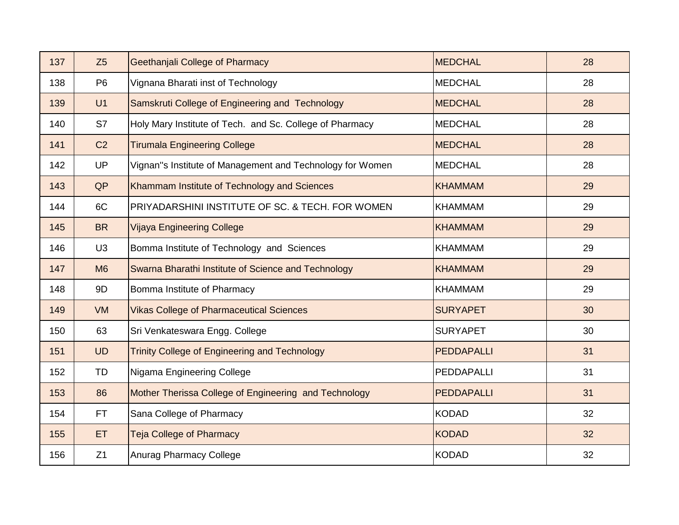| 137 | Z5             | <b>Geethanjali College of Pharmacy</b>                    | <b>MEDCHAL</b>    | 28 |
|-----|----------------|-----------------------------------------------------------|-------------------|----|
| 138 | P <sub>6</sub> | Vignana Bharati inst of Technology                        | <b>MEDCHAL</b>    | 28 |
| 139 | U1             | Samskruti College of Engineering and Technology           | <b>MEDCHAL</b>    | 28 |
| 140 | S7             | Holy Mary Institute of Tech. and Sc. College of Pharmacy  | <b>MEDCHAL</b>    | 28 |
| 141 | C <sub>2</sub> | <b>Tirumala Engineering College</b>                       | <b>MEDCHAL</b>    | 28 |
| 142 | <b>UP</b>      | Vignan"s Institute of Management and Technology for Women | <b>MEDCHAL</b>    | 28 |
| 143 | QP             | Khammam Institute of Technology and Sciences              | <b>KHAMMAM</b>    | 29 |
| 144 | 6C             | PRIYADARSHINI INSTITUTE OF SC. & TECH. FOR WOMEN          | <b>KHAMMAM</b>    | 29 |
| 145 | <b>BR</b>      | <b>Vijaya Engineering College</b>                         | <b>KHAMMAM</b>    | 29 |
| 146 | U <sub>3</sub> | Bomma Institute of Technology and Sciences                | <b>KHAMMAM</b>    | 29 |
| 147 | M <sub>6</sub> | Swarna Bharathi Institute of Science and Technology       | <b>KHAMMAM</b>    | 29 |
| 148 | 9D             | Bomma Institute of Pharmacy                               | <b>KHAMMAM</b>    | 29 |
| 149 | <b>VM</b>      | <b>Vikas College of Pharmaceutical Sciences</b>           | <b>SURYAPET</b>   | 30 |
| 150 | 63             | Sri Venkateswara Engg. College                            | <b>SURYAPET</b>   | 30 |
| 151 | <b>UD</b>      | <b>Trinity College of Engineering and Technology</b>      | <b>PEDDAPALLI</b> | 31 |
| 152 | TD             | Nigama Engineering College                                | PEDDAPALLI        | 31 |
| 153 | 86             | Mother Therissa College of Engineering and Technology     | PEDDAPALLI        | 31 |
| 154 | FT.            | Sana College of Pharmacy                                  | <b>KODAD</b>      | 32 |
| 155 | <b>ET</b>      | <b>Teja College of Pharmacy</b>                           | <b>KODAD</b>      | 32 |
| 156 | Z1             | <b>Anurag Pharmacy College</b>                            | <b>KODAD</b>      | 32 |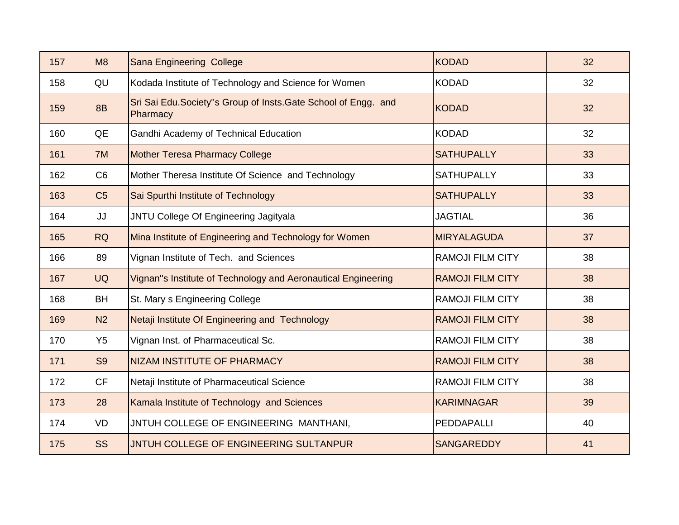| 157 | M8             | <b>Sana Engineering College</b>                                             | <b>KODAD</b>            | 32 |
|-----|----------------|-----------------------------------------------------------------------------|-------------------------|----|
| 158 | QU             | Kodada Institute of Technology and Science for Women                        | <b>KODAD</b>            | 32 |
| 159 | 8B             | Sri Sai Edu. Society"s Group of Insts. Gate School of Engg. and<br>Pharmacy | <b>KODAD</b>            | 32 |
| 160 | QE             | Gandhi Academy of Technical Education                                       | <b>KODAD</b>            | 32 |
| 161 | 7M             | <b>Mother Teresa Pharmacy College</b>                                       | <b>SATHUPALLY</b>       | 33 |
| 162 | C <sub>6</sub> | Mother Theresa Institute Of Science and Technology                          | <b>SATHUPALLY</b>       | 33 |
| 163 | C <sub>5</sub> | Sai Spurthi Institute of Technology                                         | <b>SATHUPALLY</b>       | 33 |
| 164 | JJ             | JNTU College Of Engineering Jagityala                                       | <b>JAGTIAL</b>          | 36 |
| 165 | <b>RQ</b>      | Mina Institute of Engineering and Technology for Women                      | <b>MIRYALAGUDA</b>      | 37 |
| 166 | 89             | Vignan Institute of Tech. and Sciences                                      | <b>RAMOJI FILM CITY</b> | 38 |
| 167 | <b>UQ</b>      | Vignan"s Institute of Technology and Aeronautical Engineering               | <b>RAMOJI FILM CITY</b> | 38 |
| 168 | <b>BH</b>      | St. Mary s Engineering College                                              | <b>RAMOJI FILM CITY</b> | 38 |
| 169 | N <sub>2</sub> | Netaji Institute Of Engineering and Technology                              | <b>RAMOJI FILM CITY</b> | 38 |
| 170 | Y <sub>5</sub> | Vignan Inst. of Pharmaceutical Sc.                                          | <b>RAMOJI FILM CITY</b> | 38 |
| 171 | S <sub>9</sub> | <b>NIZAM INSTITUTE OF PHARMACY</b>                                          | <b>RAMOJI FILM CITY</b> | 38 |
| 172 | <b>CF</b>      | Netaji Institute of Pharmaceutical Science                                  | <b>RAMOJI FILM CITY</b> | 38 |
| 173 | 28             | Kamala Institute of Technology and Sciences                                 | <b>KARIMNAGAR</b>       | 39 |
| 174 | VD             | JNTUH COLLEGE OF ENGINEERING MANTHANI,                                      | <b>PEDDAPALLI</b>       | 40 |
| 175 | <b>SS</b>      | JNTUH COLLEGE OF ENGINEERING SULTANPUR                                      | <b>SANGAREDDY</b>       | 41 |